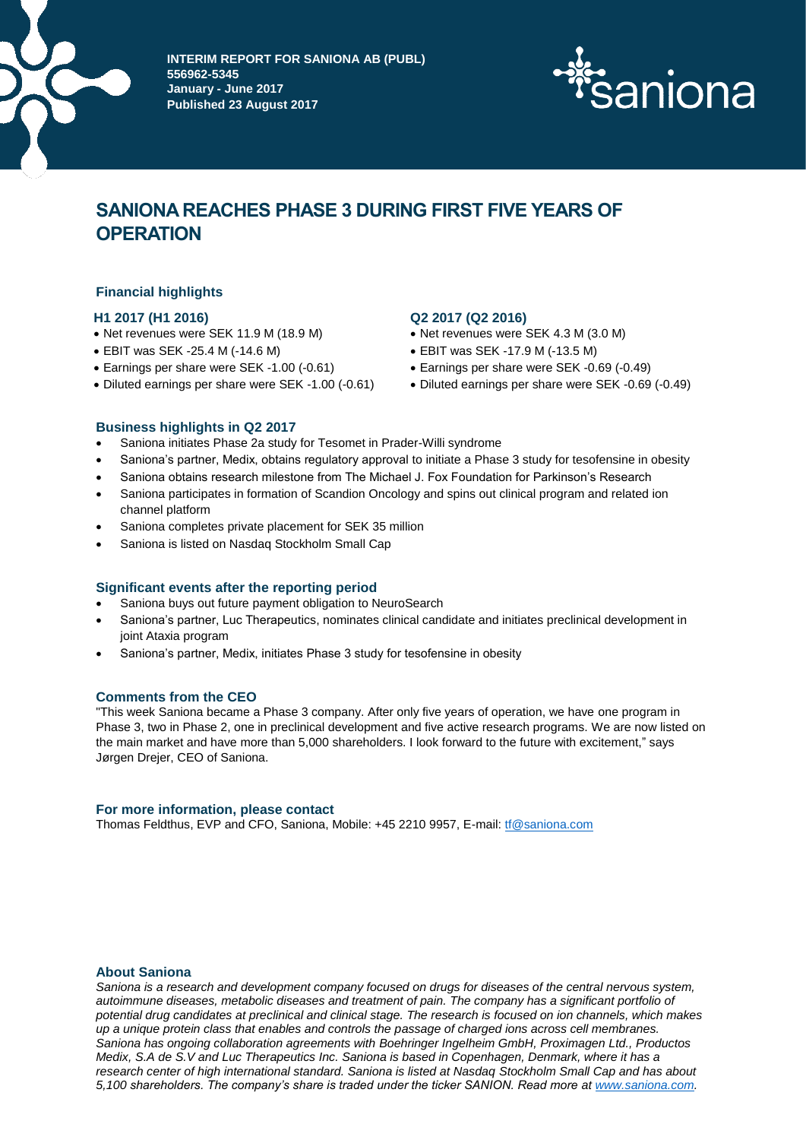

**INTERIM REPORT FOR SANIONA AB (PUBL) 556962-5345 January - June 2017 Published 23 August 2017**



# **SANIONA REACHES PHASE 3 DURING FIRST FIVE YEARS OF OPERATION**

# **Financial highlights**

# **H1 2017 (H1 2016) Q2 2017 (Q2 2016)**

- Net revenues were SEK 11.9 M (18.9 M) Net revenues were SEK 4.3 M (3.0 M)
- EBIT was SEK -25.4 M (-14.6 M) EBIT was SEK -17.9 M (-13.5 M)
- Earnings per share were SEK -1.00 (-0.61) Earnings per share were SEK -0.69 (-0.49)
- Diluted earnings per share were SEK -1.00 (-0.61) Diluted earnings per share were SEK -0.69 (-0.49)

- 
- 
- 
- 

#### **Business highlights in Q2 2017**

- Saniona initiates Phase 2a study for Tesomet in Prader-Willi syndrome
- Saniona's partner, Medix, obtains regulatory approval to initiate a Phase 3 study for tesofensine in obesity
- Saniona obtains research milestone from The Michael J. Fox Foundation for Parkinson's Research
- Saniona participates in formation of Scandion Oncology and spins out clinical program and related ion channel platform
- Saniona completes private placement for SEK 35 million
- Saniona is listed on Nasdaq Stockholm Small Cap

#### **Significant events after the reporting period**

- Saniona buys out future payment obligation to NeuroSearch
- Saniona's partner, Luc Therapeutics, nominates clinical candidate and initiates preclinical development in joint Ataxia program
- Saniona's partner, Medix, initiates Phase 3 study for tesofensine in obesity

#### **Comments from the CEO**

"This week Saniona became a Phase 3 company. After only five years of operation, we have one program in Phase 3, two in Phase 2, one in preclinical development and five active research programs. We are now listed on the main market and have more than 5,000 shareholders. I look forward to the future with excitement," says Jørgen Drejer, CEO of Saniona.

#### **For more information, please contact**

Thomas Feldthus, EVP and CFO, Saniona, Mobile: +45 2210 9957, E-mail: [tf@saniona.com](mailto:tf@saniona.com)

# **About Saniona**

*Saniona is a research and development company focused on drugs for diseases of the central nervous system, autoimmune diseases, metabolic diseases and treatment of pain. The company has a significant portfolio of potential drug candidates at preclinical and clinical stage. The research is focused on ion channels, which makes up a unique protein class that enables and controls the passage of charged ions across cell membranes. Saniona has ongoing collaboration agreements with Boehringer Ingelheim GmbH, Proximagen Ltd., Productos Medix, S.A de S.V and Luc Therapeutics Inc. Saniona is based in Copenhagen, Denmark, where it has a research center of high international standard. Saniona is listed at Nasdaq Stockholm Small Cap and has about 5,100 shareholders. The company's share is traded under the ticker SANION. Read more a[t www.saniona.com.](http://www.saniona.com/)*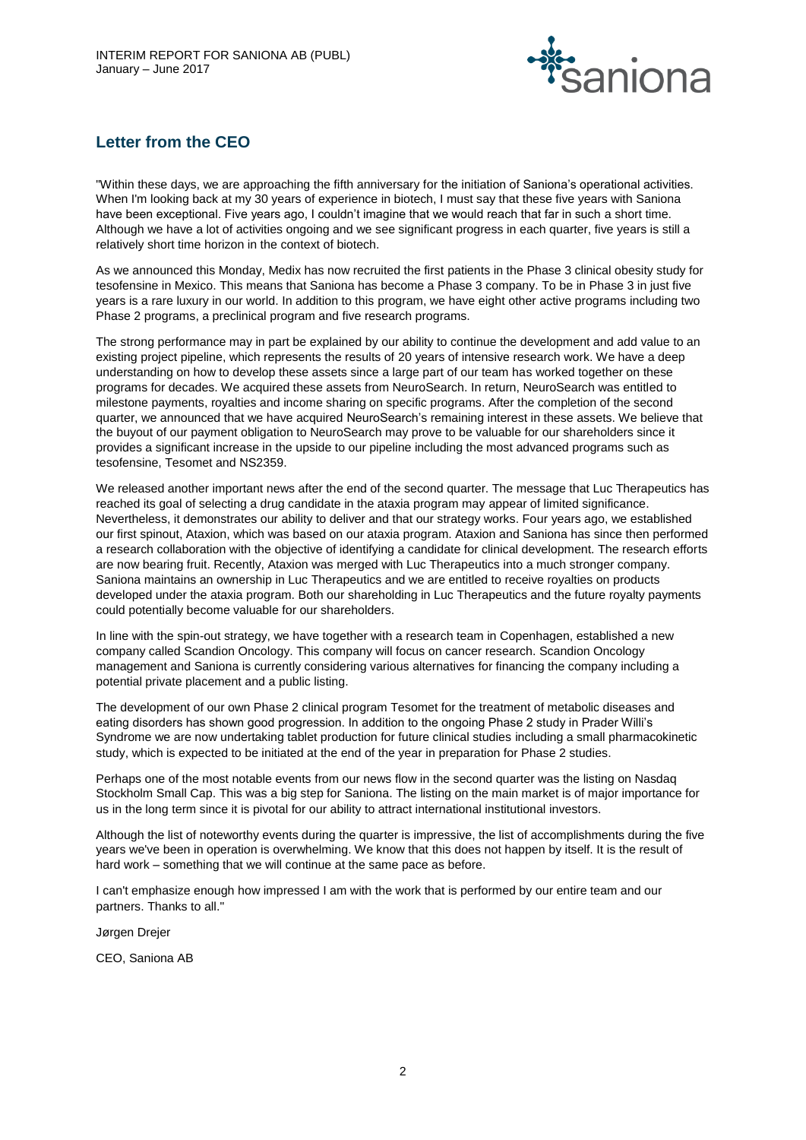

# **Letter from the CEO**

"Within these days, we are approaching the fifth anniversary for the initiation of Saniona's operational activities. When I'm looking back at my 30 years of experience in biotech, I must say that these five years with Saniona have been exceptional. Five years ago, I couldn't imagine that we would reach that far in such a short time. Although we have a lot of activities ongoing and we see significant progress in each quarter, five years is still a relatively short time horizon in the context of biotech.

As we announced this Monday, Medix has now recruited the first patients in the Phase 3 clinical obesity study for tesofensine in Mexico. This means that Saniona has become a Phase 3 company. To be in Phase 3 in just five years is a rare luxury in our world. In addition to this program, we have eight other active programs including two Phase 2 programs, a preclinical program and five research programs.

The strong performance may in part be explained by our ability to continue the development and add value to an existing project pipeline, which represents the results of 20 years of intensive research work. We have a deep understanding on how to develop these assets since a large part of our team has worked together on these programs for decades. We acquired these assets from NeuroSearch. In return, NeuroSearch was entitled to milestone payments, royalties and income sharing on specific programs. After the completion of the second quarter, we announced that we have acquired NeuroSearch's remaining interest in these assets. We believe that the buyout of our payment obligation to NeuroSearch may prove to be valuable for our shareholders since it provides a significant increase in the upside to our pipeline including the most advanced programs such as tesofensine, Tesomet and NS2359.

We released another important news after the end of the second quarter. The message that Luc Therapeutics has reached its goal of selecting a drug candidate in the ataxia program may appear of limited significance. Nevertheless, it demonstrates our ability to deliver and that our strategy works. Four years ago, we established our first spinout, Ataxion, which was based on our ataxia program. Ataxion and Saniona has since then performed a research collaboration with the objective of identifying a candidate for clinical development. The research efforts are now bearing fruit. Recently, Ataxion was merged with Luc Therapeutics into a much stronger company. Saniona maintains an ownership in Luc Therapeutics and we are entitled to receive royalties on products developed under the ataxia program. Both our shareholding in Luc Therapeutics and the future royalty payments could potentially become valuable for our shareholders.

In line with the spin-out strategy, we have together with a research team in Copenhagen, established a new company called Scandion Oncology. This company will focus on cancer research. Scandion Oncology management and Saniona is currently considering various alternatives for financing the company including a potential private placement and a public listing.

The development of our own Phase 2 clinical program Tesomet for the treatment of metabolic diseases and eating disorders has shown good progression. In addition to the ongoing Phase 2 study in Prader Willi's Syndrome we are now undertaking tablet production for future clinical studies including a small pharmacokinetic study, which is expected to be initiated at the end of the year in preparation for Phase 2 studies.

Perhaps one of the most notable events from our news flow in the second quarter was the listing on Nasdaq Stockholm Small Cap. This was a big step for Saniona. The listing on the main market is of major importance for us in the long term since it is pivotal for our ability to attract international institutional investors.

Although the list of noteworthy events during the quarter is impressive, the list of accomplishments during the five years we've been in operation is overwhelming. We know that this does not happen by itself. It is the result of hard work – something that we will continue at the same pace as before.

I can't emphasize enough how impressed I am with the work that is performed by our entire team and our partners. Thanks to all."

Jørgen Drejer

CEO, Saniona AB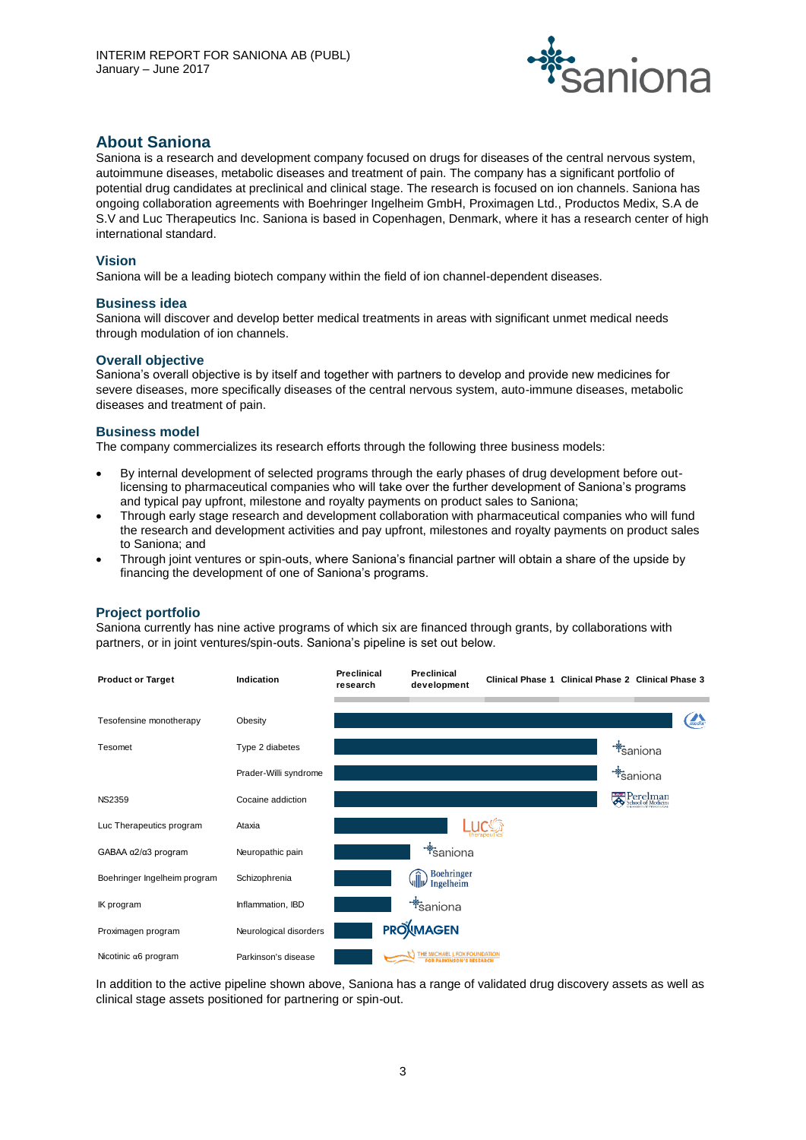

# **About Saniona**

Saniona is a research and development company focused on drugs for diseases of the central nervous system, autoimmune diseases, metabolic diseases and treatment of pain. The company has a significant portfolio of potential drug candidates at preclinical and clinical stage. The research is focused on ion channels. Saniona has ongoing collaboration agreements with Boehringer Ingelheim GmbH, Proximagen Ltd., Productos Medix, S.A de S.V and Luc Therapeutics Inc. Saniona is based in Copenhagen, Denmark, where it has a research center of high international standard.

# **Vision**

Saniona will be a leading biotech company within the field of ion channel-dependent diseases.

#### **Business idea**

Saniona will discover and develop better medical treatments in areas with significant unmet medical needs through modulation of ion channels.

#### **Overall objective**

Saniona's overall objective is by itself and together with partners to develop and provide new medicines for severe diseases, more specifically diseases of the central nervous system, auto-immune diseases, metabolic diseases and treatment of pain.

#### **Business model**

The company commercializes its research efforts through the following three business models:

- By internal development of selected programs through the early phases of drug development before outlicensing to pharmaceutical companies who will take over the further development of Saniona's programs and typical pay upfront, milestone and royalty payments on product sales to Saniona;
- Through early stage research and development collaboration with pharmaceutical companies who will fund the research and development activities and pay upfront, milestones and royalty payments on product sales to Saniona; and
- Through joint ventures or spin-outs, where Saniona's financial partner will obtain a share of the upside by financing the development of one of Saniona's programs.

# **Project portfolio**

Saniona currently has nine active programs of which six are financed through grants, by collaborations with partners, or in joint ventures/spin-outs. Saniona's pipeline is set out below.



In addition to the active pipeline shown above, Saniona has a range of validated drug discovery assets as well as clinical stage assets positioned for partnering or spin-out.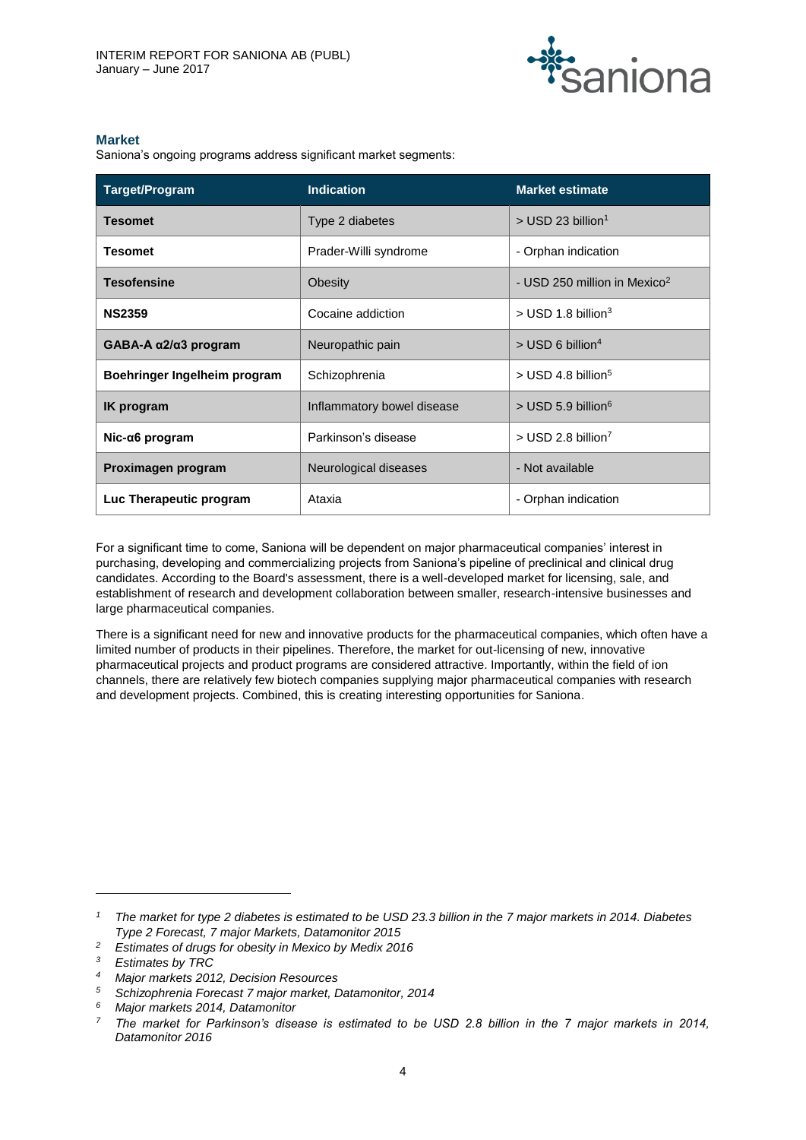

# **Market**

Saniona's ongoing programs address significant market segments:

| Target/Program                        | <b>Indication</b>          | <b>Market estimate</b>                   |
|---------------------------------------|----------------------------|------------------------------------------|
| <b>Tesomet</b>                        | Type 2 diabetes            | $>$ USD 23 billion <sup>1</sup>          |
| <b>Tesomet</b>                        | Prader-Willi syndrome      | - Orphan indication                      |
| <b>Tesofensine</b>                    | Obesity                    | - USD 250 million in Mexico <sup>2</sup> |
| <b>NS2359</b>                         | Cocaine addiction          | $>$ USD 1.8 billion <sup>3</sup>         |
| GABA-A $\alpha$ 2/ $\alpha$ 3 program | Neuropathic pain           | $>$ USD 6 billion <sup>4</sup>           |
| Boehringer Ingelheim program          | Schizophrenia              | $>$ USD 4.8 billion <sup>5</sup>         |
| <b>IK</b> program                     | Inflammatory bowel disease | $>$ USD 5.9 billion <sup>6</sup>         |
| $Nic-a6$ program                      | Parkinson's disease        | $>$ USD 2.8 billion <sup>7</sup>         |
| Proximagen program                    | Neurological diseases      | - Not available                          |
| Luc Therapeutic program               | Ataxia                     | - Orphan indication                      |

For a significant time to come, Saniona will be dependent on major pharmaceutical companies' interest in purchasing, developing and commercializing projects from Saniona's pipeline of preclinical and clinical drug candidates. According to the Board's assessment, there is a well-developed market for licensing, sale, and establishment of research and development collaboration between smaller, research-intensive businesses and large pharmaceutical companies.

There is a significant need for new and innovative products for the pharmaceutical companies, which often have a limited number of products in their pipelines. Therefore, the market for out-licensing of new, innovative pharmaceutical projects and product programs are considered attractive. Importantly, within the field of ion channels, there are relatively few biotech companies supplying major pharmaceutical companies with research and development projects. Combined, this is creating interesting opportunities for Saniona.

 $\overline{a}$ 

*<sup>1</sup> The market for type 2 diabetes is estimated to be USD 23.3 billion in the 7 major markets in 2014. Diabetes Type 2 Forecast, 7 major Markets, Datamonitor 2015*

*<sup>2</sup> Estimates of drugs for obesity in Mexico by Medix 2016*

*<sup>3</sup> Estimates by TRC*

*<sup>4</sup> Major markets 2012, Decision Resources*

*<sup>5</sup> Schizophrenia Forecast 7 major market, Datamonitor, 2014*

*<sup>6</sup> Major markets 2014, Datamonitor*

*<sup>7</sup> The market for Parkinson's disease is estimated to be USD 2.8 billion in the 7 major markets in 2014, Datamonitor 2016*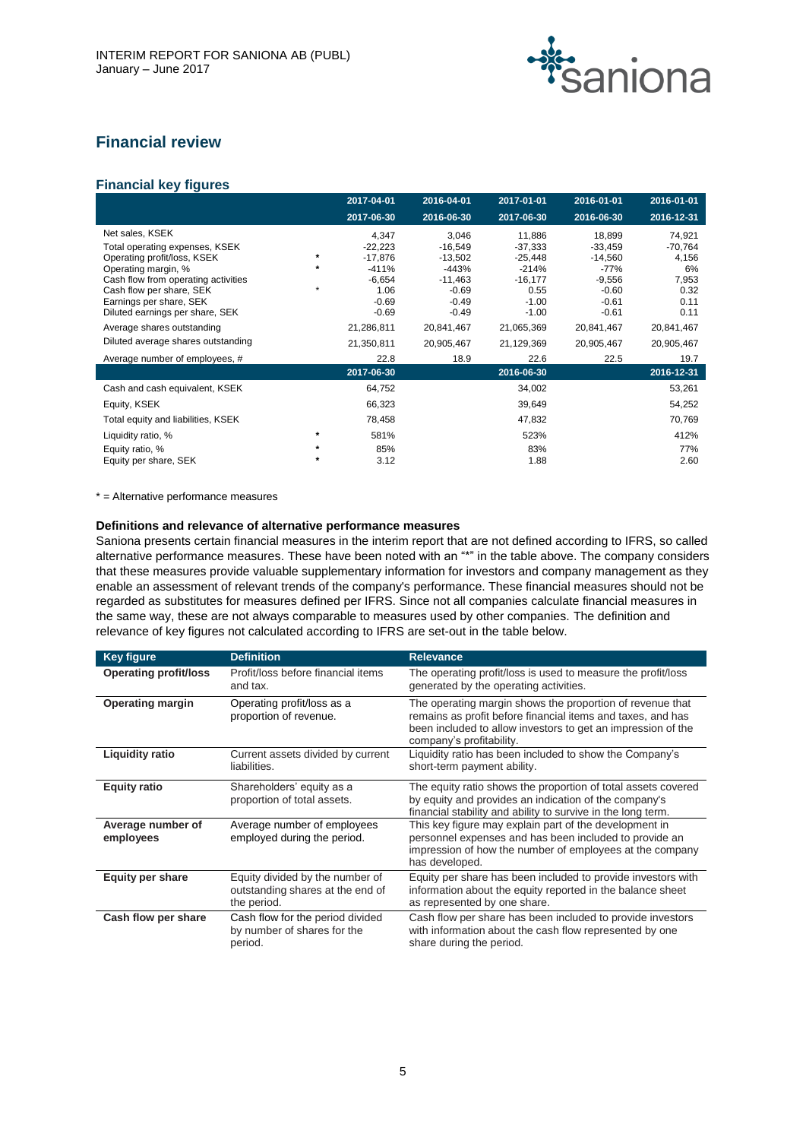

# **Financial review**

# **Financial key figures**

|                                                                                                                                                                                                       |        | 2017-04-01                                                                | 2016-04-01                                                                | 2017-01-01                                                                | 2016-01-01                                                                 | 2016-01-01                                                  |
|-------------------------------------------------------------------------------------------------------------------------------------------------------------------------------------------------------|--------|---------------------------------------------------------------------------|---------------------------------------------------------------------------|---------------------------------------------------------------------------|----------------------------------------------------------------------------|-------------------------------------------------------------|
|                                                                                                                                                                                                       |        | 2017-06-30                                                                | 2016-06-30                                                                | 2017-06-30                                                                | 2016-06-30                                                                 | 2016-12-31                                                  |
| Net sales, KSEK<br>Total operating expenses, KSEK<br>Operating profit/loss, KSEK<br>Operating margin, %<br>Cash flow from operating activities<br>Cash flow per share, SEK<br>Earnings per share, SEK |        | 4,347<br>$-22,223$<br>$-17,876$<br>$-411%$<br>$-6,654$<br>1.06<br>$-0.69$ | 3,046<br>$-16,549$<br>$-13,502$<br>-443%<br>-11,463<br>$-0.69$<br>$-0.49$ | 11,886<br>$-37,333$<br>$-25,448$<br>-214%<br>$-16,177$<br>0.55<br>$-1.00$ | 18,899<br>$-33,459$<br>$-14,560$<br>-77%<br>$-9,556$<br>$-0.60$<br>$-0.61$ | 74,921<br>$-70,764$<br>4,156<br>6%<br>7,953<br>0.32<br>0.11 |
| Diluted earnings per share, SEK                                                                                                                                                                       |        | $-0.69$                                                                   | $-0.49$                                                                   | $-1.00$                                                                   | $-0.61$                                                                    | 0.11                                                        |
| Average shares outstanding<br>Diluted average shares outstanding                                                                                                                                      |        | 21,286,811<br>21,350,811                                                  | 20,841,467<br>20,905,467                                                  | 21,065,369<br>21,129,369                                                  | 20,841,467<br>20,905,467                                                   | 20,841,467<br>20,905,467                                    |
| Average number of employees, #                                                                                                                                                                        |        | 22.8                                                                      | 18.9                                                                      | 22.6                                                                      | 22.5                                                                       | 19.7                                                        |
|                                                                                                                                                                                                       |        | 2017-06-30                                                                |                                                                           | 2016-06-30                                                                |                                                                            | 2016-12-31                                                  |
| Cash and cash equivalent, KSEK                                                                                                                                                                        |        | 64,752                                                                    |                                                                           | 34,002                                                                    |                                                                            | 53,261                                                      |
| Equity, KSEK                                                                                                                                                                                          |        | 66,323                                                                    |                                                                           | 39,649                                                                    |                                                                            | 54,252                                                      |
| Total equity and liabilities, KSEK                                                                                                                                                                    |        | 78,458                                                                    |                                                                           | 47,832                                                                    |                                                                            | 70,769                                                      |
| Liquidity ratio, %                                                                                                                                                                                    | $\ast$ | 581%                                                                      |                                                                           | 523%                                                                      |                                                                            | 412%                                                        |
| Equity ratio, %<br>Equity per share, SEK                                                                                                                                                              |        | 85%<br>3.12                                                               |                                                                           | 83%<br>1.88                                                               |                                                                            | 77%<br>2.60                                                 |

\* = Alternative performance measures

#### **Definitions and relevance of alternative performance measures**

Saniona presents certain financial measures in the interim report that are not defined according to IFRS, so called alternative performance measures. These have been noted with an "\*" in the table above. The company considers that these measures provide valuable supplementary information for investors and company management as they enable an assessment of relevant trends of the company's performance. These financial measures should not be regarded as substitutes for measures defined per IFRS. Since not all companies calculate financial measures in the same way, these are not always comparable to measures used by other companies. The definition and relevance of key figures not calculated according to IFRS are set-out in the table below.

| <b>Key figure</b>              | <b>Definition</b>                                                                  | <b>Relevance</b>                                                                                                                                                                                                     |
|--------------------------------|------------------------------------------------------------------------------------|----------------------------------------------------------------------------------------------------------------------------------------------------------------------------------------------------------------------|
| <b>Operating profit/loss</b>   | Profit/loss before financial items<br>and tax.                                     | The operating profit/loss is used to measure the profit/loss<br>generated by the operating activities.                                                                                                               |
| <b>Operating margin</b>        | Operating profit/loss as a<br>proportion of revenue.                               | The operating margin shows the proportion of revenue that<br>remains as profit before financial items and taxes, and has<br>been included to allow investors to get an impression of the<br>company's profitability. |
| <b>Liquidity ratio</b>         | Current assets divided by current<br>liabilities.                                  | Liquidity ratio has been included to show the Company's<br>short-term payment ability.                                                                                                                               |
| <b>Equity ratio</b>            | Shareholders' equity as a<br>proportion of total assets.                           | The equity ratio shows the proportion of total assets covered<br>by equity and provides an indication of the company's<br>financial stability and ability to survive in the long term.                               |
| Average number of<br>employees | Average number of employees<br>employed during the period.                         | This key figure may explain part of the development in<br>personnel expenses and has been included to provide an<br>impression of how the number of employees at the company<br>has developed.                       |
| <b>Equity per share</b>        | Equity divided by the number of<br>outstanding shares at the end of<br>the period. | Equity per share has been included to provide investors with<br>information about the equity reported in the balance sheet<br>as represented by one share.                                                           |
| Cash flow per share            | Cash flow for the period divided<br>by number of shares for the<br>period.         | Cash flow per share has been included to provide investors<br>with information about the cash flow represented by one<br>share during the period.                                                                    |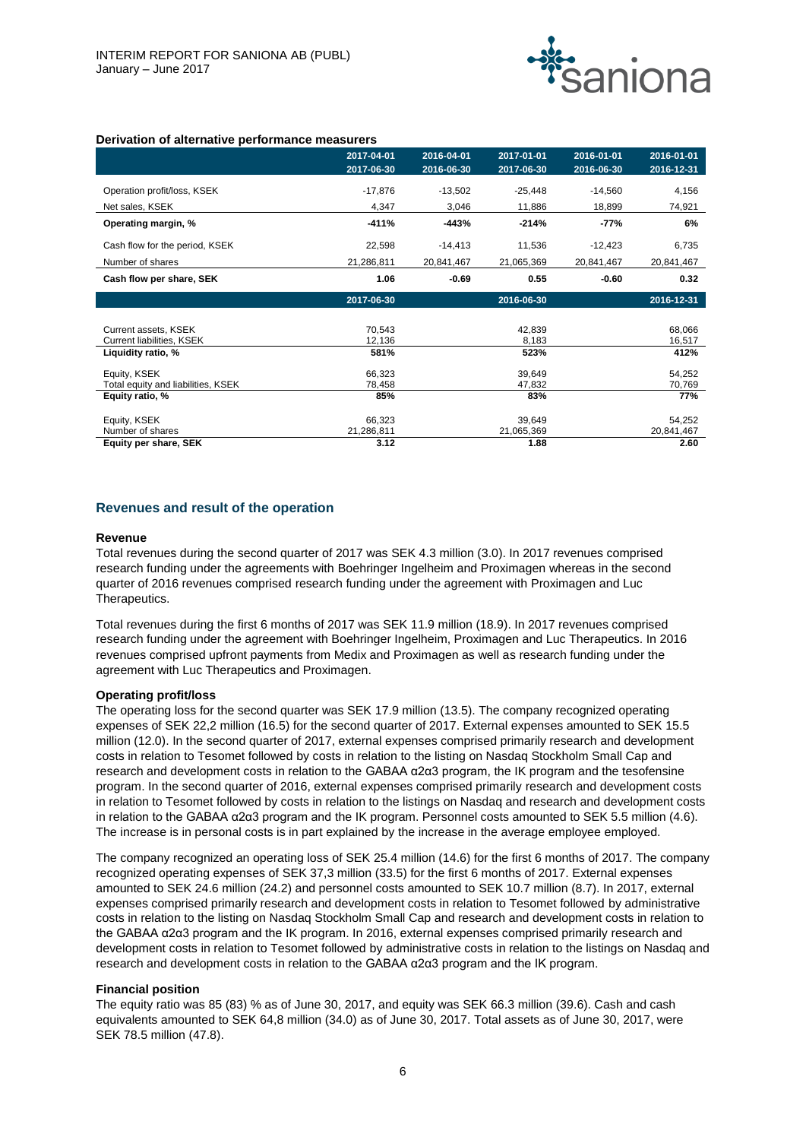

#### **Derivation of alternative performance measurers**

|                                    | 2017-04-01<br>2017-06-30 | 2016-04-01<br>2016-06-30 | 2017-01-01<br>2017-06-30 | 2016-01-01<br>2016-06-30 | 2016-01-01<br>2016-12-31 |
|------------------------------------|--------------------------|--------------------------|--------------------------|--------------------------|--------------------------|
|                                    |                          |                          |                          |                          |                          |
| Operation profit/loss, KSEK        | $-17,876$                | $-13,502$                | $-25,448$                | $-14,560$                | 4,156                    |
| Net sales, KSEK                    | 4,347                    | 3,046                    | 11,886                   | 18,899                   | 74,921                   |
| Operating margin, %                | $-411%$                  | $-443%$                  | $-214%$                  | $-77%$                   | 6%                       |
| Cash flow for the period, KSEK     | 22,598                   | $-14,413$                | 11,536                   | $-12,423$                | 6,735                    |
| Number of shares                   | 21,286,811               | 20,841,467               | 21,065,369               | 20,841,467               | 20,841,467               |
| Cash flow per share, SEK           | 1.06                     | $-0.69$                  | 0.55                     | $-0.60$                  | 0.32                     |
|                                    | 2017-06-30               |                          | 2016-06-30               |                          | 2016-12-31               |
|                                    |                          |                          |                          |                          |                          |
| Current assets, KSEK               | 70,543                   |                          | 42,839                   |                          | 68,066                   |
| Current liabilities, KSEK          | 12,136                   |                          | 8,183                    |                          | 16,517                   |
| Liquidity ratio, %                 | 581%                     |                          | 523%                     |                          | 412%                     |
| Equity, KSEK                       | 66,323                   |                          | 39,649                   |                          | 54,252                   |
| Total equity and liabilities, KSEK | 78,458                   |                          | 47,832                   |                          | 70,769                   |
| Equity ratio, %                    | 85%                      |                          | 83%                      |                          | 77%                      |
| Equity, KSEK                       | 66,323                   |                          | 39.649                   |                          | 54,252                   |
| Number of shares                   | 21,286,811               |                          | 21,065,369               |                          | 20,841,467               |
| Equity per share, SEK              | 3.12                     |                          | 1.88                     |                          | 2.60                     |

#### **Revenues and result of the operation**

#### **Revenue**

Total revenues during the second quarter of 2017 was SEK 4.3 million (3.0). In 2017 revenues comprised research funding under the agreements with Boehringer Ingelheim and Proximagen whereas in the second quarter of 2016 revenues comprised research funding under the agreement with Proximagen and Luc Therapeutics.

Total revenues during the first 6 months of 2017 was SEK 11.9 million (18.9). In 2017 revenues comprised research funding under the agreement with Boehringer Ingelheim, Proximagen and Luc Therapeutics. In 2016 revenues comprised upfront payments from Medix and Proximagen as well as research funding under the agreement with Luc Therapeutics and Proximagen.

#### **Operating profit/loss**

The operating loss for the second quarter was SEK 17.9 million (13.5). The company recognized operating expenses of SEK 22,2 million (16.5) for the second quarter of 2017. External expenses amounted to SEK 15.5 million (12.0). In the second quarter of 2017, external expenses comprised primarily research and development costs in relation to Tesomet followed by costs in relation to the listing on Nasdaq Stockholm Small Cap and research and development costs in relation to the GABAA α2α3 program, the IK program and the tesofensine program. In the second quarter of 2016, external expenses comprised primarily research and development costs in relation to Tesomet followed by costs in relation to the listings on Nasdaq and research and development costs in relation to the GABAA α2α3 program and the IK program. Personnel costs amounted to SEK 5.5 million (4.6). The increase is in personal costs is in part explained by the increase in the average employee employed.

The company recognized an operating loss of SEK 25.4 million (14.6) for the first 6 months of 2017. The company recognized operating expenses of SEK 37,3 million (33.5) for the first 6 months of 2017. External expenses amounted to SEK 24.6 million (24.2) and personnel costs amounted to SEK 10.7 million (8.7). In 2017, external expenses comprised primarily research and development costs in relation to Tesomet followed by administrative costs in relation to the listing on Nasdaq Stockholm Small Cap and research and development costs in relation to the GABAA α2α3 program and the IK program. In 2016, external expenses comprised primarily research and development costs in relation to Tesomet followed by administrative costs in relation to the listings on Nasdaq and research and development costs in relation to the GABAA α2α3 program and the IK program.

#### **Financial position**

The equity ratio was 85 (83) % as of June 30, 2017, and equity was SEK 66.3 million (39.6). Cash and cash equivalents amounted to SEK 64,8 million (34.0) as of June 30, 2017. Total assets as of June 30, 2017, were SEK 78.5 million (47.8).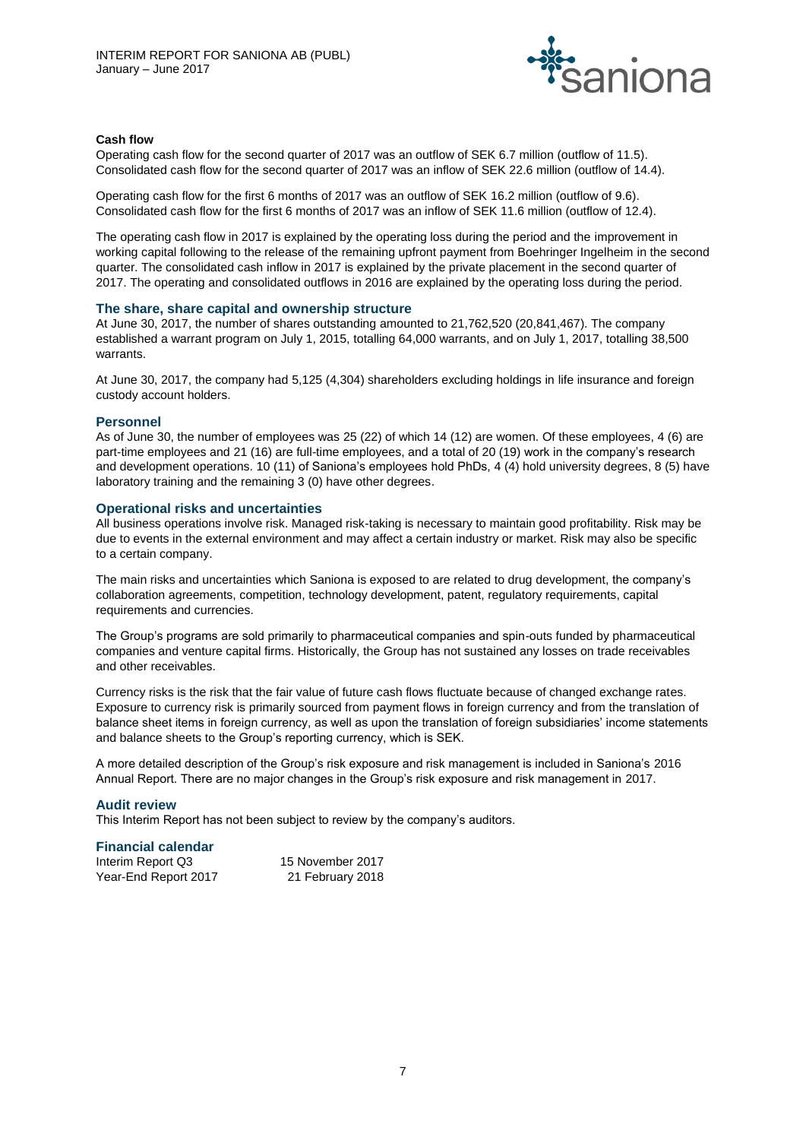

#### **Cash flow**

Operating cash flow for the second quarter of 2017 was an outflow of SEK 6.7 million (outflow of 11.5). Consolidated cash flow for the second quarter of 2017 was an inflow of SEK 22.6 million (outflow of 14.4).

Operating cash flow for the first 6 months of 2017 was an outflow of SEK 16.2 million (outflow of 9.6). Consolidated cash flow for the first 6 months of 2017 was an inflow of SEK 11.6 million (outflow of 12.4).

The operating cash flow in 2017 is explained by the operating loss during the period and the improvement in working capital following to the release of the remaining upfront payment from Boehringer Ingelheim in the second quarter. The consolidated cash inflow in 2017 is explained by the private placement in the second quarter of 2017. The operating and consolidated outflows in 2016 are explained by the operating loss during the period.

#### **The share, share capital and ownership structure**

At June 30, 2017, the number of shares outstanding amounted to 21,762,520 (20,841,467). The company established a warrant program on July 1, 2015, totalling 64,000 warrants, and on July 1, 2017, totalling 38,500 warrants.

At June 30, 2017, the company had 5,125 (4,304) shareholders excluding holdings in life insurance and foreign custody account holders.

#### **Personnel**

As of June 30, the number of employees was 25 (22) of which 14 (12) are women. Of these employees, 4 (6) are part-time employees and 21 (16) are full-time employees, and a total of 20 (19) work in the company's research and development operations. 10 (11) of Saniona's employees hold PhDs, 4 (4) hold university degrees, 8 (5) have laboratory training and the remaining 3 (0) have other degrees.

#### **Operational risks and uncertainties**

All business operations involve risk. Managed risk-taking is necessary to maintain good profitability. Risk may be due to events in the external environment and may affect a certain industry or market. Risk may also be specific to a certain company.

The main risks and uncertainties which Saniona is exposed to are related to drug development, the company's collaboration agreements, competition, technology development, patent, regulatory requirements, capital requirements and currencies.

The Group's programs are sold primarily to pharmaceutical companies and spin-outs funded by pharmaceutical companies and venture capital firms. Historically, the Group has not sustained any losses on trade receivables and other receivables.

Currency risks is the risk that the fair value of future cash flows fluctuate because of changed exchange rates. Exposure to currency risk is primarily sourced from payment flows in foreign currency and from the translation of balance sheet items in foreign currency, as well as upon the translation of foreign subsidiaries' income statements and balance sheets to the Group's reporting currency, which is SEK.

A more detailed description of the Group's risk exposure and risk management is included in Saniona's 2016 Annual Report. There are no major changes in the Group's risk exposure and risk management in 2017.

#### **Audit review**

This Interim Report has not been subject to review by the company's auditors.

# **Financial calendar**

| Interim Report Q3    | 15 November 2017 |
|----------------------|------------------|
| Year-End Report 2017 | 21 February 2018 |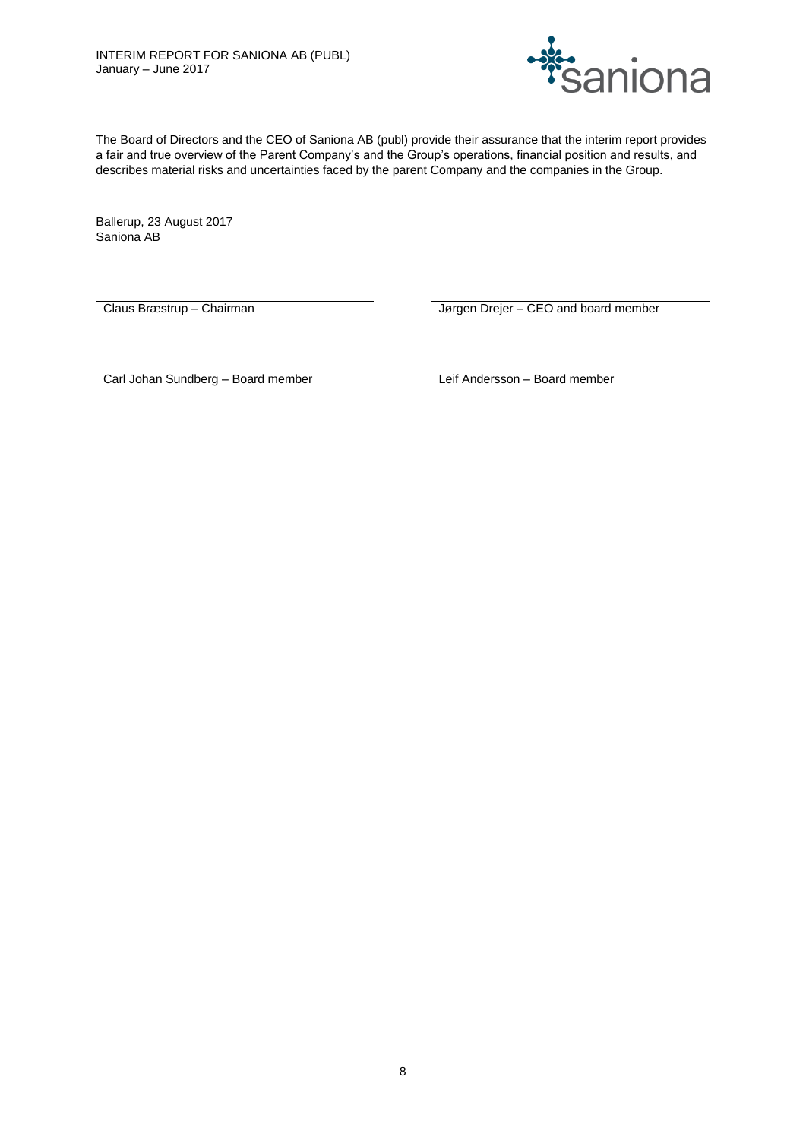

The Board of Directors and the CEO of Saniona AB (publ) provide their assurance that the interim report provides a fair and true overview of the Parent Company's and the Group's operations, financial position and results, and describes material risks and uncertainties faced by the parent Company and the companies in the Group.

Ballerup, 23 August 2017 Saniona AB

Claus Bræstrup – Chairman **III. I Frankrike Liberal Liberal Crist** Jørgen Drejer – CEO and board member

Carl Johan Sundberg – Board member Leif Andersson – Board member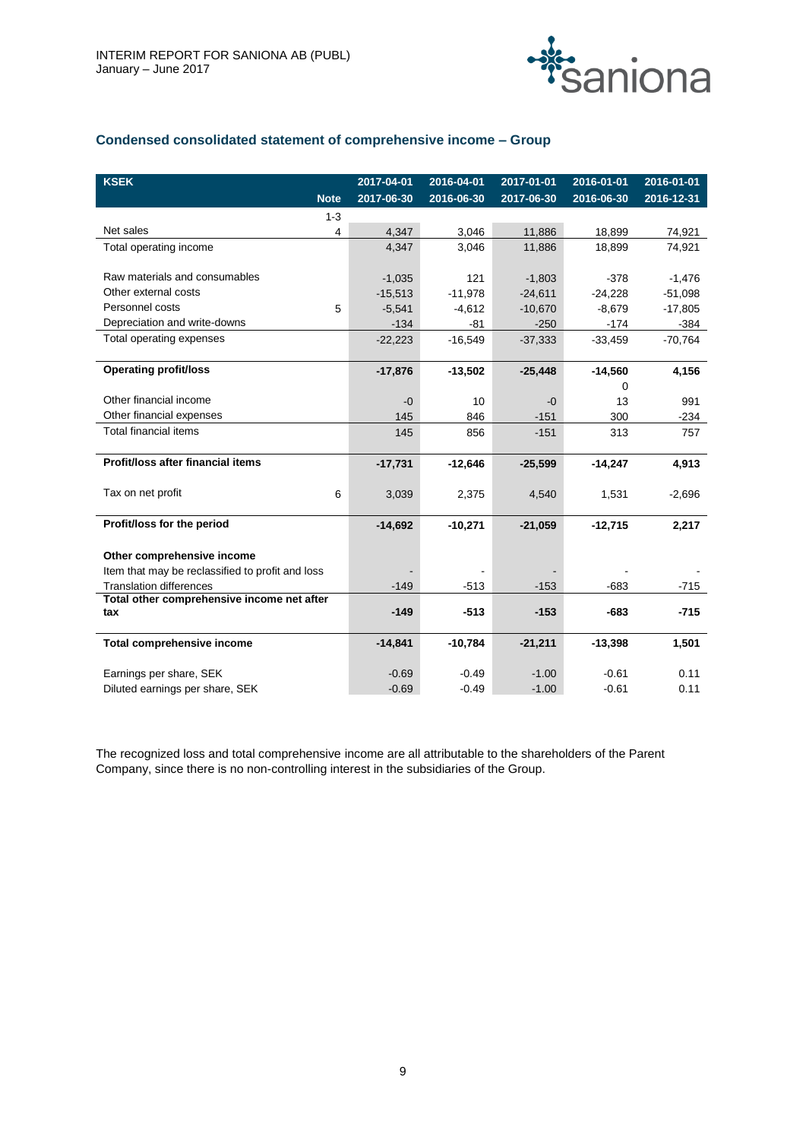

# **Condensed consolidated statement of comprehensive income – Group**

| <b>KSEK</b>                                      | 2017-04-01 | 2016-04-01 | 2017-01-01 | 2016-01-01 | 2016-01-01 |
|--------------------------------------------------|------------|------------|------------|------------|------------|
| <b>Note</b>                                      | 2017-06-30 | 2016-06-30 | 2017-06-30 | 2016-06-30 | 2016-12-31 |
| $1 - 3$                                          |            |            |            |            |            |
| Net sales<br>4                                   | 4,347      | 3,046      | 11,886     | 18,899     | 74,921     |
| Total operating income                           | 4,347      | 3,046      | 11,886     | 18,899     | 74,921     |
|                                                  |            |            |            |            |            |
| Raw materials and consumables                    | $-1,035$   | 121        | $-1,803$   | $-378$     | $-1,476$   |
| Other external costs                             | $-15,513$  | $-11,978$  | $-24,611$  | $-24,228$  | $-51,098$  |
| Personnel costs<br>5                             | $-5,541$   | $-4,612$   | $-10,670$  | $-8,679$   | $-17,805$  |
| Depreciation and write-downs                     | $-134$     | $-81$      | $-250$     | $-174$     | $-384$     |
| Total operating expenses                         | $-22,223$  | $-16,549$  | $-37,333$  | $-33,459$  | $-70,764$  |
|                                                  |            |            |            |            |            |
| <b>Operating profit/loss</b>                     | $-17,876$  | $-13,502$  | $-25,448$  | $-14,560$  | 4,156      |
|                                                  |            |            |            | 0          |            |
| Other financial income                           | $-0$       | 10         | -0         | 13         | 991        |
| Other financial expenses                         | 145        | 846        | $-151$     | 300        | $-234$     |
| <b>Total financial items</b>                     | 145        | 856        | $-151$     | 313        | 757        |
|                                                  |            |            |            |            |            |
| Profit/loss after financial items                | $-17,731$  | $-12,646$  | $-25,599$  | $-14,247$  | 4,913      |
| Tax on net profit<br>6                           | 3,039      | 2,375      | 4,540      | 1,531      | $-2,696$   |
|                                                  |            |            |            |            |            |
| Profit/loss for the period                       | $-14,692$  | $-10,271$  | $-21,059$  | $-12,715$  | 2,217      |
|                                                  |            |            |            |            |            |
| Other comprehensive income                       |            |            |            |            |            |
| Item that may be reclassified to profit and loss |            |            |            |            |            |
| <b>Translation differences</b>                   | $-149$     | $-513$     | $-153$     | $-683$     | $-715$     |
| Total other comprehensive income net after       |            |            |            |            |            |
| tax                                              | $-149$     | $-513$     | $-153$     | $-683$     | $-715$     |
| <b>Total comprehensive income</b>                | $-14,841$  | $-10,784$  | $-21,211$  | $-13,398$  | 1,501      |
|                                                  |            |            |            |            |            |
| Earnings per share, SEK                          | $-0.69$    | $-0.49$    | $-1.00$    | $-0.61$    | 0.11       |
| Diluted earnings per share, SEK                  | $-0.69$    | $-0.49$    | $-1.00$    | $-0.61$    | 0.11       |

The recognized loss and total comprehensive income are all attributable to the shareholders of the Parent Company, since there is no non-controlling interest in the subsidiaries of the Group.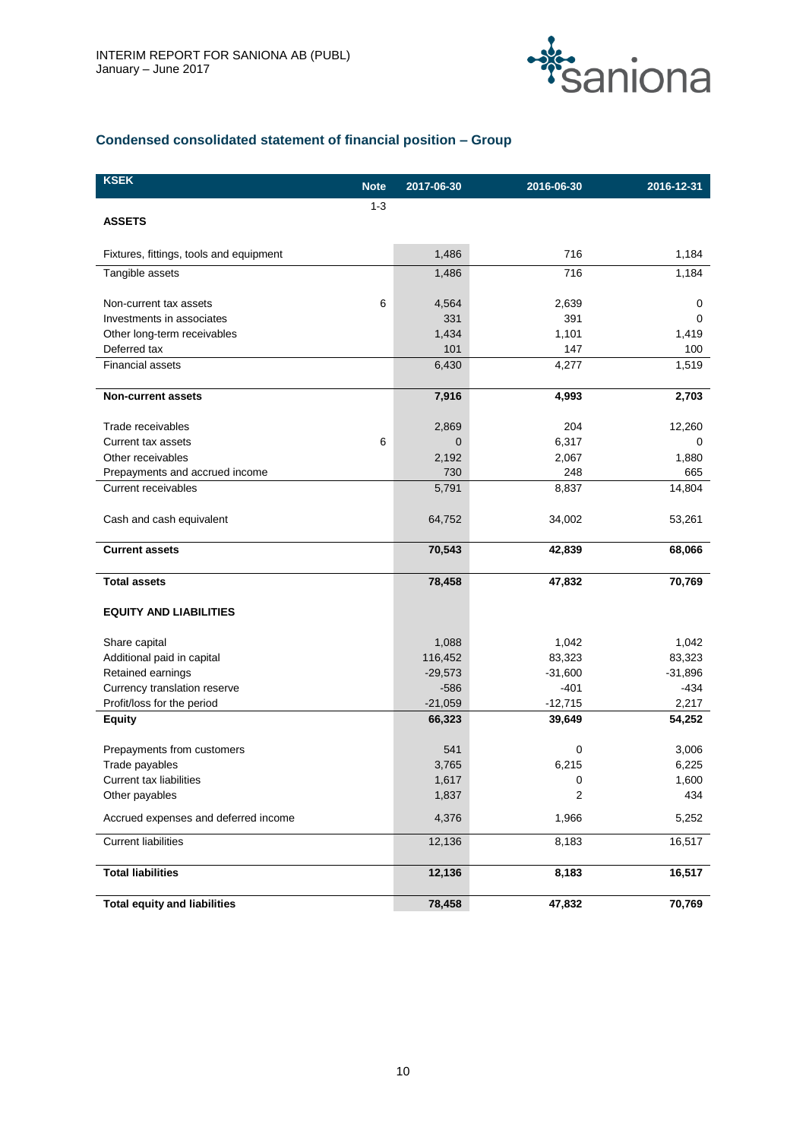

# **Condensed consolidated statement of financial position – Group**

| <b>KSEK</b>                             | <b>Note</b> | 2017-06-30 | 2016-06-30 | 2016-12-31 |
|-----------------------------------------|-------------|------------|------------|------------|
|                                         | $1 - 3$     |            |            |            |
| <b>ASSETS</b>                           |             |            |            |            |
| Fixtures, fittings, tools and equipment |             | 1,486      | 716        | 1,184      |
| Tangible assets                         |             | 1,486      | 716        | 1,184      |
|                                         |             |            |            |            |
| Non-current tax assets                  | 6           | 4,564      | 2,639      | 0          |
| Investments in associates               |             | 331        | 391        | 0          |
| Other long-term receivables             |             | 1,434      | 1,101      | 1,419      |
| Deferred tax                            |             | 101        | 147        | 100        |
| <b>Financial assets</b>                 |             | 6,430      | 4,277      | 1,519      |
| <b>Non-current assets</b>               |             | 7,916      | 4,993      | 2,703      |
| Trade receivables                       |             | 2,869      | 204        | 12,260     |
| Current tax assets                      | 6           | 0          | 6,317      | 0          |
| Other receivables                       |             | 2,192      | 2,067      | 1,880      |
| Prepayments and accrued income          |             | 730        | 248        | 665        |
| <b>Current receivables</b>              |             | 5,791      | 8,837      | 14,804     |
| Cash and cash equivalent                |             | 64,752     | 34,002     | 53,261     |
| <b>Current assets</b>                   |             | 70,543     | 42,839     | 68,066     |
| <b>Total assets</b>                     |             | 78,458     | 47,832     | 70,769     |
| <b>EQUITY AND LIABILITIES</b>           |             |            |            |            |
| Share capital                           |             | 1,088      | 1,042      | 1,042      |
| Additional paid in capital              |             | 116,452    | 83,323     | 83,323     |
| Retained earnings                       |             | $-29,573$  | $-31,600$  | $-31,896$  |
| Currency translation reserve            |             | $-586$     | $-401$     | $-434$     |
| Profit/loss for the period              |             | $-21,059$  | $-12,715$  | 2,217      |
| <b>Equity</b>                           |             | 66,323     | 39,649     | 54,252     |
| Prepayments from customers              |             | 541        | 0          | 3,006      |
| Trade payables                          |             | 3,765      | 6,215      | 6,225      |
| Current tax liabilities                 |             | 1,617      | 0          | 1,600      |
| Other payables                          |             | 1,837      | 2          | 434        |
| Accrued expenses and deferred income    |             | 4,376      | 1,966      | 5,252      |
| <b>Current liabilities</b>              |             | 12,136     | 8,183      | 16,517     |
| <b>Total liabilities</b>                |             | 12,136     | 8,183      | 16,517     |
| <b>Total equity and liabilities</b>     |             | 78,458     | 47,832     | 70,769     |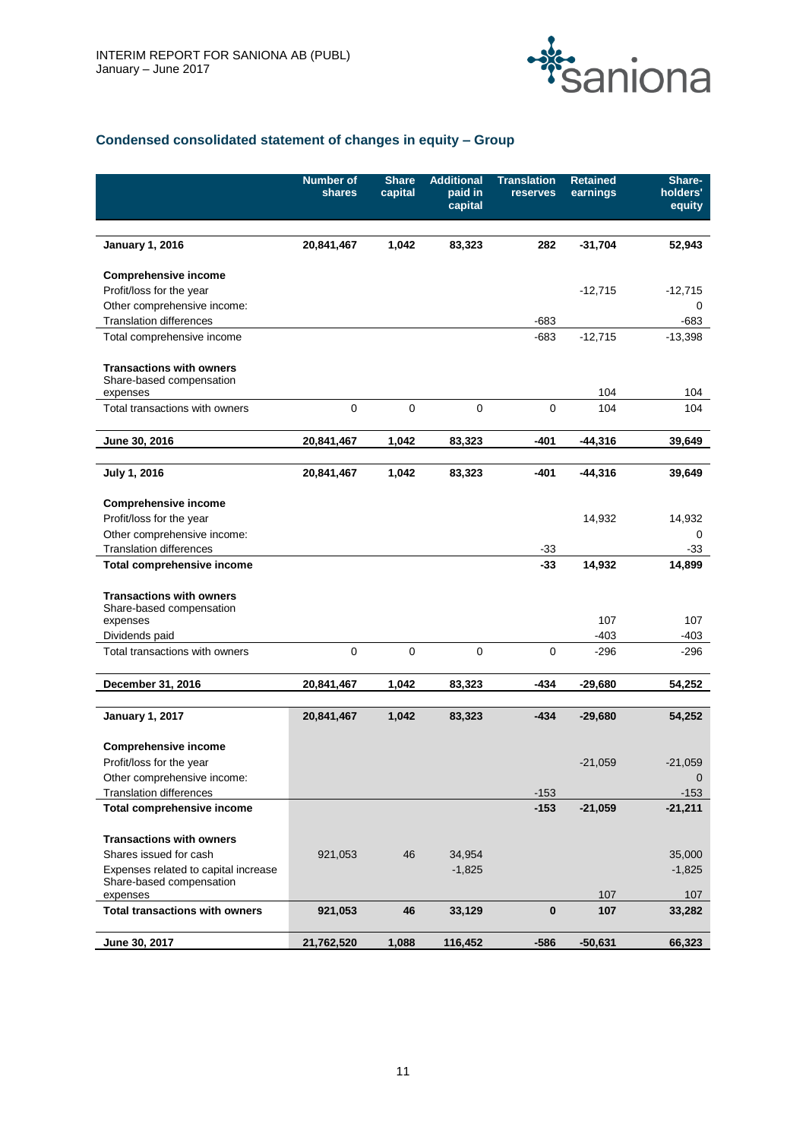

# **Condensed consolidated statement of changes in equity – Group**

|                                                                         | <b>Number of</b><br>shares | <b>Share</b><br>capital | <b>Additional</b><br>paid in<br>capital | <b>Translation</b><br>reserves | <b>Retained</b><br>earnings | Share-<br>holders'<br>equity |
|-------------------------------------------------------------------------|----------------------------|-------------------------|-----------------------------------------|--------------------------------|-----------------------------|------------------------------|
|                                                                         |                            |                         |                                         |                                |                             |                              |
| <b>January 1, 2016</b>                                                  | 20,841,467                 | 1,042                   | 83,323                                  | 282                            | $-31,704$                   | 52,943                       |
| <b>Comprehensive income</b>                                             |                            |                         |                                         |                                |                             |                              |
| Profit/loss for the year                                                |                            |                         |                                         |                                | $-12,715$                   | $-12,715$                    |
| Other comprehensive income:<br><b>Translation differences</b>           |                            |                         |                                         | $-683$                         |                             | 0<br>$-683$                  |
| Total comprehensive income                                              |                            |                         |                                         | -683                           | $-12,715$                   | $-13,398$                    |
|                                                                         |                            |                         |                                         |                                |                             |                              |
| <b>Transactions with owners</b><br>Share-based compensation<br>expenses |                            |                         |                                         |                                | 104                         | 104                          |
| Total transactions with owners                                          | $\pmb{0}$                  | $\pmb{0}$               | $\pmb{0}$                               | $\mathbf 0$                    | 104                         | 104                          |
| June 30, 2016                                                           | 20,841,467                 | 1,042                   | 83,323                                  | $-401$                         | $-44,316$                   | 39,649                       |
|                                                                         |                            |                         |                                         |                                |                             |                              |
| July 1, 2016                                                            | 20,841,467                 | 1,042                   | 83,323                                  | -401                           | $-44,316$                   | 39,649                       |
|                                                                         |                            |                         |                                         |                                |                             |                              |
| <b>Comprehensive income</b>                                             |                            |                         |                                         |                                |                             |                              |
| Profit/loss for the year                                                |                            |                         |                                         |                                | 14,932                      | 14,932                       |
| Other comprehensive income:                                             |                            |                         |                                         |                                |                             | 0                            |
| <b>Translation differences</b>                                          |                            |                         |                                         | $-33$<br>$-33$                 | 14,932                      | -33<br>14,899                |
| <b>Total comprehensive income</b>                                       |                            |                         |                                         |                                |                             |                              |
| <b>Transactions with owners</b>                                         |                            |                         |                                         |                                |                             |                              |
| Share-based compensation                                                |                            |                         |                                         |                                |                             |                              |
| expenses                                                                |                            |                         |                                         |                                | 107                         | 107                          |
| Dividends paid                                                          |                            |                         |                                         |                                | $-403$                      | $-403$                       |
| Total transactions with owners                                          | $\mathbf 0$                | $\pmb{0}$               | $\pmb{0}$                               | $\mathbf 0$                    | $-296$                      | $-296$                       |
| December 31, 2016                                                       | 20,841,467                 | 1,042                   | 83,323                                  | -434                           | $-29,680$                   | 54,252                       |
|                                                                         |                            |                         |                                         |                                |                             |                              |
| <b>January 1, 2017</b>                                                  | 20,841,467                 | 1,042                   | 83,323                                  | -434                           | $-29,680$                   | 54,252                       |
| <b>Comprehensive income</b>                                             |                            |                         |                                         |                                |                             |                              |
| Profit/loss for the year                                                |                            |                         |                                         |                                | $-21,059$                   | $-21,059$                    |
| Other comprehensive income:                                             |                            |                         |                                         |                                |                             | $\cup$                       |
| <b>Translation differences</b>                                          |                            |                         |                                         | $-153$                         |                             | $-153$                       |
| <b>Total comprehensive income</b>                                       |                            |                         |                                         | $-153$                         | $-21,059$                   | $-21,211$                    |
| <b>Transactions with owners</b>                                         |                            |                         |                                         |                                |                             |                              |
| Shares issued for cash                                                  | 921,053                    | 46                      | 34,954                                  |                                |                             | 35,000                       |
| Expenses related to capital increase                                    |                            |                         | $-1,825$                                |                                |                             | $-1,825$                     |
| Share-based compensation                                                |                            |                         |                                         |                                |                             |                              |
| expenses                                                                |                            |                         |                                         |                                | 107                         | 107                          |
| <b>Total transactions with owners</b>                                   | 921,053                    | 46                      | 33,129                                  | $\bf{0}$                       | 107                         | 33,282                       |
| June 30, 2017                                                           | 21,762,520                 | 1,088                   | 116,452                                 | $-586$                         | $-50,631$                   | 66,323                       |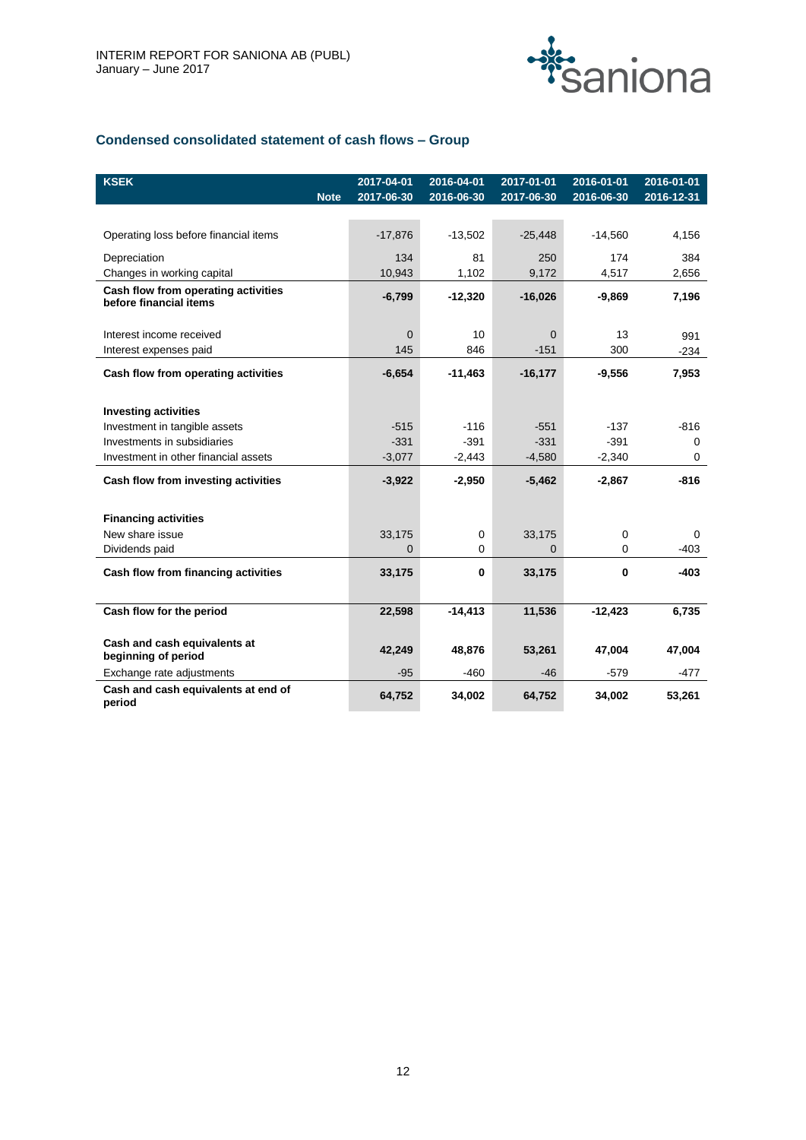

# **Condensed consolidated statement of cash flows – Group**

| <b>KSEK</b>                                                   | <b>Note</b> | 2017-04-01<br>2017-06-30 | 2016-04-01<br>2016-06-30 | 2017-01-01<br>2017-06-30 | 2016-01-01<br>2016-06-30 | 2016-01-01<br>$2016 - 12 - 31$ |
|---------------------------------------------------------------|-------------|--------------------------|--------------------------|--------------------------|--------------------------|--------------------------------|
|                                                               |             |                          |                          |                          |                          |                                |
| Operating loss before financial items                         |             | $-17,876$                | $-13,502$                | $-25,448$                | $-14,560$                | 4,156                          |
| Depreciation                                                  |             | 134                      | 81                       | 250                      | 174                      | 384                            |
| Changes in working capital                                    |             | 10,943                   | 1,102                    | 9,172                    | 4,517                    | 2,656                          |
| Cash flow from operating activities<br>before financial items |             | $-6,799$                 | $-12,320$                | $-16,026$                | $-9,869$                 | 7,196                          |
| Interest income received                                      |             | $\mathbf 0$              | 10                       | $\Omega$                 | 13                       | 991                            |
| Interest expenses paid                                        |             | 145                      | 846                      | $-151$                   | 300                      | $-234$                         |
| Cash flow from operating activities                           |             | $-6,654$                 | $-11,463$                | $-16,177$                | $-9,556$                 | 7,953                          |
|                                                               |             |                          |                          |                          |                          |                                |
| <b>Investing activities</b>                                   |             |                          |                          |                          |                          |                                |
| Investment in tangible assets                                 |             | $-515$                   | $-116$                   | $-551$                   | $-137$                   | $-816$                         |
| Investments in subsidiaries                                   |             | $-331$                   | $-391$                   | $-331$                   | $-391$                   | $\mathbf 0$                    |
| Investment in other financial assets                          |             | $-3,077$                 | $-2,443$                 | $-4,580$                 | $-2,340$                 | $\mathbf 0$                    |
| Cash flow from investing activities                           |             | $-3,922$                 | $-2,950$                 | $-5,462$                 | $-2,867$                 | $-816$                         |
| <b>Financing activities</b>                                   |             |                          |                          |                          |                          |                                |
| New share issue                                               |             | 33,175                   | 0                        | 33,175                   | 0                        | $\Omega$                       |
| Dividends paid                                                |             | $\Omega$                 | 0                        | $\Omega$                 | $\Omega$                 | $-403$                         |
| Cash flow from financing activities                           |             | 33,175                   | 0                        | 33,175                   | 0                        | $-403$                         |
|                                                               |             |                          |                          |                          |                          |                                |
| Cash flow for the period                                      |             | 22,598                   | $-14,413$                | 11,536                   | $-12,423$                | 6,735                          |
| Cash and cash equivalents at<br>beginning of period           |             | 42,249                   | 48,876                   | 53,261                   | 47,004                   | 47,004                         |
| Exchange rate adjustments                                     |             | $-95$                    | $-460$                   | $-46$                    | $-579$                   | $-477$                         |
| Cash and cash equivalents at end of<br>period                 |             | 64,752                   | 34,002                   | 64,752                   | 34,002                   | 53,261                         |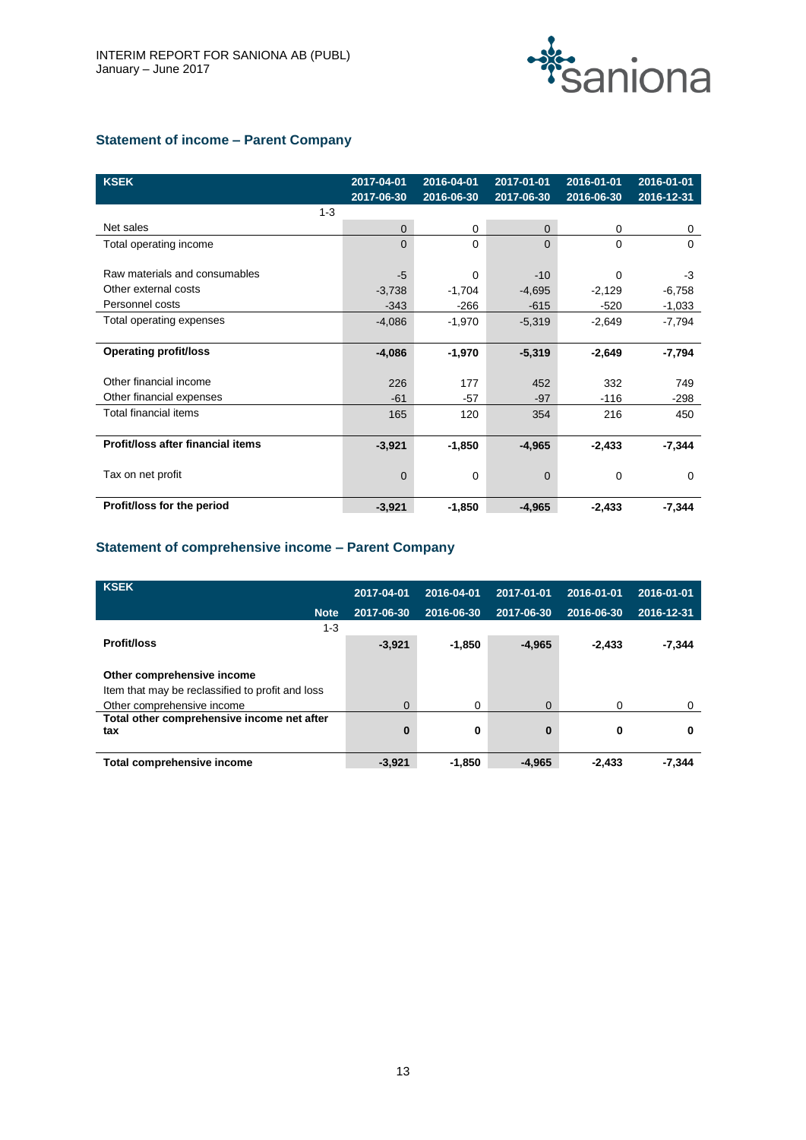

# **Statement of income – Parent Company**

| <b>KSEK</b>                       | 2017-04-01<br>2017-06-30 | 2016-04-01<br>2016-06-30 | 2017-01-01<br>2017-06-30 | 2016-01-01<br>2016-06-30 | 2016-01-01<br>2016-12-31 |
|-----------------------------------|--------------------------|--------------------------|--------------------------|--------------------------|--------------------------|
| $1 - 3$                           |                          |                          |                          |                          |                          |
| Net sales                         | 0                        | 0                        | 0                        | 0                        | 0                        |
| Total operating income            | $\Omega$                 | $\Omega$                 | $\Omega$                 | $\Omega$                 | $\Omega$                 |
|                                   |                          |                          |                          |                          |                          |
| Raw materials and consumables     | $-5$                     | $\Omega$                 | $-10$                    | 0                        | -3                       |
| Other external costs              | $-3,738$                 | $-1,704$                 | $-4,695$                 | $-2,129$                 | $-6,758$                 |
| Personnel costs                   | $-343$                   | -266                     | $-615$                   | $-520$                   | $-1,033$                 |
| Total operating expenses          | $-4,086$                 | $-1,970$                 | $-5,319$                 | $-2,649$                 | $-7,794$                 |
|                                   |                          |                          |                          |                          |                          |
| <b>Operating profit/loss</b>      | $-4,086$                 | $-1,970$                 | $-5,319$                 | $-2,649$                 | $-7,794$                 |
|                                   |                          |                          |                          |                          |                          |
| Other financial income            | 226                      | 177                      | 452                      | 332                      | 749                      |
| Other financial expenses          | $-61$                    | -57                      | $-97$                    | $-116$                   | $-298$                   |
| Total financial items             | 165                      | 120                      | 354                      | 216                      | 450                      |
|                                   |                          |                          |                          |                          |                          |
| Profit/loss after financial items | $-3,921$                 | $-1,850$                 | $-4,965$                 | $-2,433$                 | $-7,344$                 |
|                                   |                          |                          |                          |                          |                          |
| Tax on net profit                 | $\Omega$                 | $\Omega$                 | $\Omega$                 | 0                        | $\Omega$                 |
|                                   |                          |                          |                          |                          |                          |
| Profit/loss for the period        | $-3,921$                 | $-1,850$                 | $-4,965$                 | $-2,433$                 | $-7,344$                 |

# **Statement of comprehensive income – Parent Company**

| <b>KSEK</b>                                      | 2017-04-01  | 2016-04-01 | 2017-01-01 | 2016-01-01 | 2016-01-01 |
|--------------------------------------------------|-------------|------------|------------|------------|------------|
| <b>Note</b>                                      | 2017-06-30  | 2016-06-30 | 2017-06-30 | 2016-06-30 | 2016-12-31 |
| $1 - 3$                                          |             |            |            |            |            |
| <b>Profit/loss</b>                               | $-3,921$    | $-1,850$   | $-4,965$   | $-2,433$   | $-7,344$   |
|                                                  |             |            |            |            |            |
| Other comprehensive income                       |             |            |            |            |            |
| Item that may be reclassified to profit and loss |             |            |            |            |            |
| Other comprehensive income                       | $\mathbf 0$ | 0          | $\Omega$   | 0          | $\Omega$   |
| Total other comprehensive income net after       |             |            |            |            |            |
| tax                                              | 0           | 0          | $\bf{0}$   | 0          | 0          |
|                                                  |             |            |            |            |            |
| Total comprehensive income                       | $-3,921$    | $-1,850$   | $-4.965$   | $-2,433$   | $-7.344$   |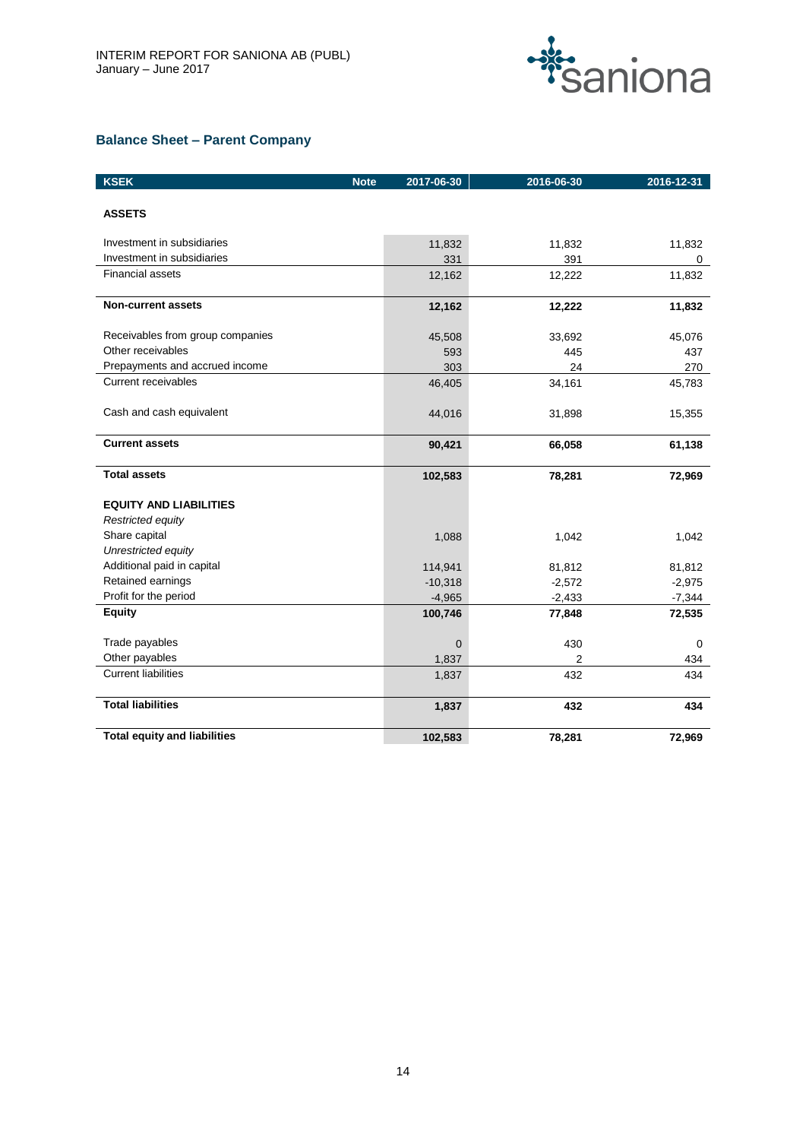

# **Balance Sheet – Parent Company**

| <b>KSEK</b><br><b>Note</b>          | 2017-06-30 | 2016-06-30 | 2016-12-31 |
|-------------------------------------|------------|------------|------------|
| <b>ASSETS</b>                       |            |            |            |
|                                     |            |            |            |
| Investment in subsidiaries          | 11,832     | 11,832     | 11,832     |
| Investment in subsidiaries          | 331        | 391        | 0          |
| <b>Financial assets</b>             | 12,162     | 12,222     | 11,832     |
| <b>Non-current assets</b>           | 12,162     | 12,222     | 11,832     |
| Receivables from group companies    | 45,508     | 33,692     | 45,076     |
| Other receivables                   | 593        | 445        | 437        |
| Prepayments and accrued income      | 303        | 24         | 270        |
| <b>Current receivables</b>          | 46,405     | 34,161     | 45,783     |
| Cash and cash equivalent            | 44,016     | 31,898     | 15,355     |
| <b>Current assets</b>               | 90,421     | 66,058     | 61,138     |
| <b>Total assets</b>                 | 102,583    | 78,281     | 72,969     |
| <b>EQUITY AND LIABILITIES</b>       |            |            |            |
| Restricted equity                   |            |            |            |
| Share capital                       | 1,088      | 1,042      | 1.042      |
| Unrestricted equity                 |            |            |            |
| Additional paid in capital          | 114,941    | 81,812     | 81,812     |
| Retained earnings                   | $-10,318$  | $-2,572$   | $-2,975$   |
| Profit for the period               | $-4,965$   | $-2,433$   | $-7,344$   |
| <b>Equity</b>                       | 100,746    | 77,848     | 72,535     |
| Trade payables                      | 0          | 430        | 0          |
| Other payables                      | 1,837      | 2          | 434        |
| <b>Current liabilities</b>          | 1,837      | 432        | 434        |
| <b>Total liabilities</b>            | 1,837      | 432        | 434        |
| <b>Total equity and liabilities</b> | 102,583    | 78,281     | 72,969     |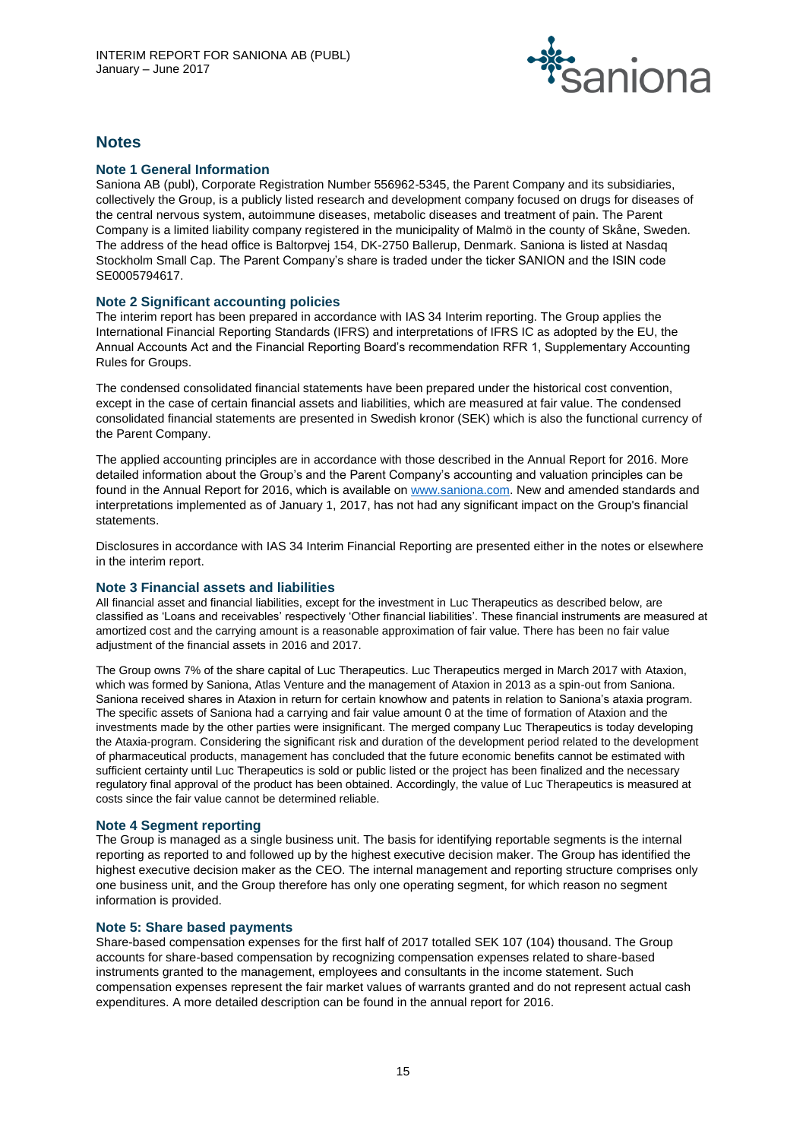

# **Notes**

# **Note 1 General Information**

Saniona AB (publ), Corporate Registration Number 556962-5345, the Parent Company and its subsidiaries, collectively the Group, is a publicly listed research and development company focused on drugs for diseases of the central nervous system, autoimmune diseases, metabolic diseases and treatment of pain. The Parent Company is a limited liability company registered in the municipality of Malmö in the county of Skåne, Sweden. The address of the head office is Baltorpvej 154, DK-2750 Ballerup, Denmark. Saniona is listed at Nasdaq Stockholm Small Cap. The Parent Company's share is traded under the ticker SANION and the ISIN code SE0005794617.

# **Note 2 Significant accounting policies**

The interim report has been prepared in accordance with IAS 34 Interim reporting. The Group applies the International Financial Reporting Standards (IFRS) and interpretations of IFRS IC as adopted by the EU, the Annual Accounts Act and the Financial Reporting Board's recommendation RFR 1, Supplementary Accounting Rules for Groups.

The condensed consolidated financial statements have been prepared under the historical cost convention, except in the case of certain financial assets and liabilities, which are measured at fair value. The condensed consolidated financial statements are presented in Swedish kronor (SEK) which is also the functional currency of the Parent Company.

The applied accounting principles are in accordance with those described in the Annual Report for 2016. More detailed information about the Group's and the Parent Company's accounting and valuation principles can be found in the Annual Report for 2016, which is available o[n www.saniona.com.](http://www.saniona.com/) New and amended standards and interpretations implemented as of January 1, 2017, has not had any significant impact on the Group's financial statements.

Disclosures in accordance with IAS 34 Interim Financial Reporting are presented either in the notes or elsewhere in the interim report.

# **Note 3 Financial assets and liabilities**

**All financial asset and financial liabilities, except for the investment in Luc Therapeutics as described below, are classified as 'Loans and receivables' respectively 'Other financial liabilities'. These financial instruments are measured at amortized cost and the carrying amount is a reasonable approximation of fair value. There has been no fair value adjustment of the financial assets in 2016 and 2017.**

**The Group owns 7% of the share capital of Luc Therapeutics. Luc Therapeutics merged in March 2017 with Ataxion, which was formed by Saniona, Atlas Venture and the management of Ataxion in 2013 as a spin-out from Saniona. Saniona received shares in Ataxion in return for certain knowhow and patents in relation to Saniona's ataxia program. The specific assets of Saniona had a carrying and fair value amount 0 at the time of formation of Ataxion and the investments made by the other parties were insignificant. The merged company Luc Therapeutics is today developing the Ataxia-program. Considering the significant risk and duration of the development period related to the development of pharmaceutical products, management has concluded that the future economic benefits cannot be estimated with sufficient certainty until Luc Therapeutics is sold or public listed or the project has been finalized and the necessary regulatory final approval of the product has been obtained. Accordingly, the value of Luc Therapeutics is measured at costs since the fair value cannot be determined reliable.**

# **Note 4 Segment reporting**

The Group is managed as a single business unit. The basis for identifying reportable segments is the internal reporting as reported to and followed up by the highest executive decision maker. The Group has identified the highest executive decision maker as the CEO. The internal management and reporting structure comprises only one business unit, and the Group therefore has only one operating segment, for which reason no segment information is provided.

# **Note 5: Share based payments**

Share-based compensation expenses for the first half of 2017 totalled SEK 107 (104) thousand. The Group accounts for share-based compensation by recognizing compensation expenses related to share-based instruments granted to the management, employees and consultants in the income statement. Such compensation expenses represent the fair market values of warrants granted and do not represent actual cash expenditures. A more detailed description can be found in the annual report for 2016.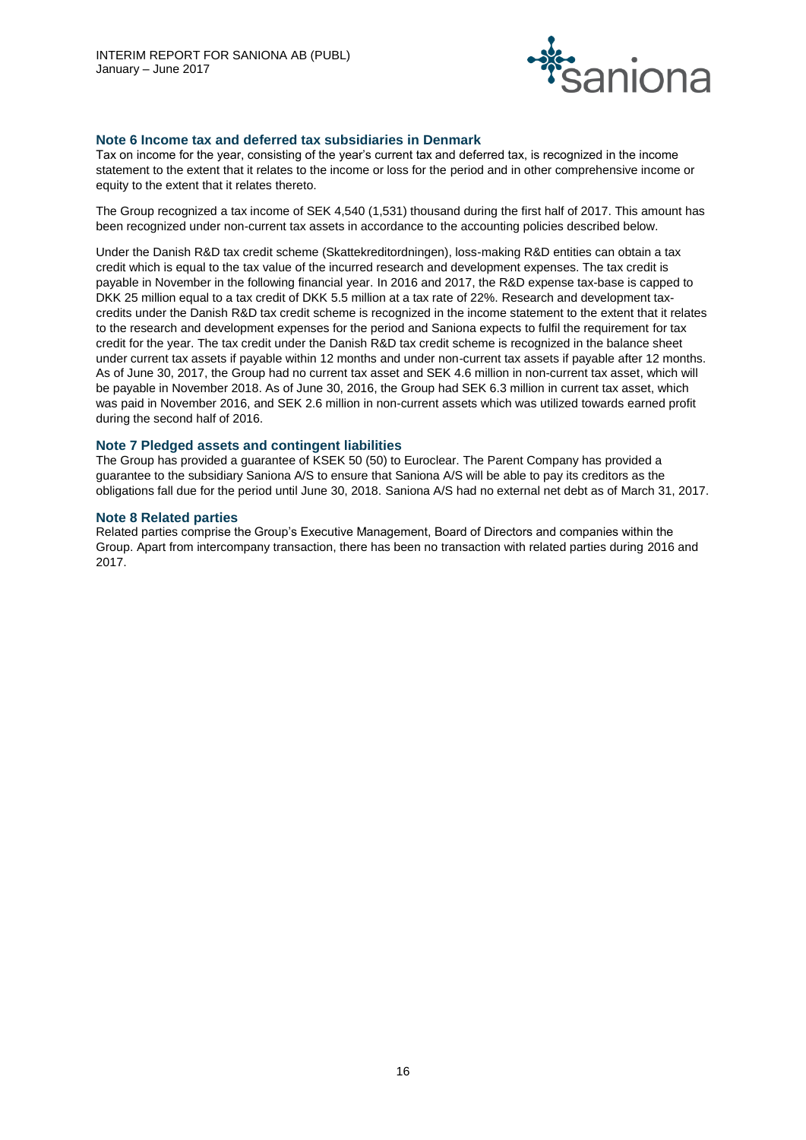

# **Note 6 Income tax and deferred tax subsidiaries in Denmark**

Tax on income for the year, consisting of the year's current tax and deferred tax, is recognized in the income statement to the extent that it relates to the income or loss for the period and in other comprehensive income or equity to the extent that it relates thereto.

The Group recognized a tax income of SEK 4,540 (1,531) thousand during the first half of 2017. This amount has been recognized under non-current tax assets in accordance to the accounting policies described below.

Under the Danish R&D tax credit scheme (Skattekreditordningen), loss-making R&D entities can obtain a tax credit which is equal to the tax value of the incurred research and development expenses. The tax credit is payable in November in the following financial year. In 2016 and 2017, the R&D expense tax-base is capped to DKK 25 million equal to a tax credit of DKK 5.5 million at a tax rate of 22%. Research and development taxcredits under the Danish R&D tax credit scheme is recognized in the income statement to the extent that it relates to the research and development expenses for the period and Saniona expects to fulfil the requirement for tax credit for the year. The tax credit under the Danish R&D tax credit scheme is recognized in the balance sheet under current tax assets if payable within 12 months and under non-current tax assets if payable after 12 months. As of June 30, 2017, the Group had no current tax asset and SEK 4.6 million in non-current tax asset, which will be payable in November 2018. As of June 30, 2016, the Group had SEK 6.3 million in current tax asset, which was paid in November 2016, and SEK 2.6 million in non-current assets which was utilized towards earned profit during the second half of 2016.

# **Note 7 Pledged assets and contingent liabilities**

The Group has provided a guarantee of KSEK 50 (50) to Euroclear. The Parent Company has provided a guarantee to the subsidiary Saniona A/S to ensure that Saniona A/S will be able to pay its creditors as the obligations fall due for the period until June 30, 2018. Saniona A/S had no external net debt as of March 31, 2017.

# **Note 8 Related parties**

Related parties comprise the Group's Executive Management, Board of Directors and companies within the Group. Apart from intercompany transaction, there has been no transaction with related parties during 2016 and 2017.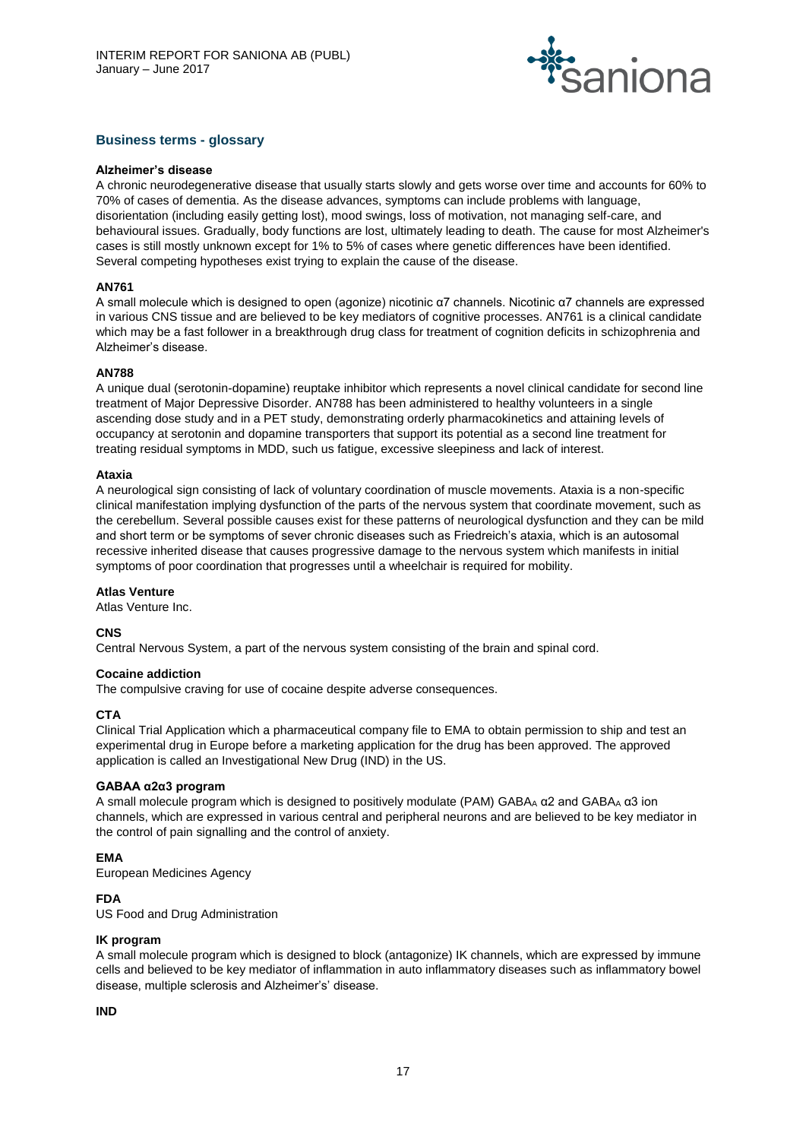

# **Business terms - glossary**

#### **Alzheimer's disease**

A chronic neurodegenerative disease that usually starts slowly and gets worse over time and accounts for 60% to 70% of cases of dementia. As the disease advances, symptoms can include problems with language, disorientation (including easily getting lost), mood swings, loss of motivation, not managing self-care, and behavioural issues. Gradually, body functions are lost, ultimately leading to death. The cause for most Alzheimer's cases is still mostly unknown except for 1% to 5% of cases where genetic differences have been identified. Several competing hypotheses exist trying to explain the cause of the disease.

#### **AN761**

A small molecule which is designed to open (agonize) nicotinic α7 channels. Nicotinic α7 channels are expressed in various CNS tissue and are believed to be key mediators of cognitive processes. AN761 is a clinical candidate which may be a fast follower in a breakthrough drug class for treatment of cognition deficits in schizophrenia and Alzheimer's disease.

#### **AN788**

A unique dual (serotonin-dopamine) reuptake inhibitor which represents a novel clinical candidate for second line treatment of Major Depressive Disorder. AN788 has been administered to healthy volunteers in a single ascending dose study and in a PET study, demonstrating orderly pharmacokinetics and attaining levels of occupancy at serotonin and dopamine transporters that support its potential as a second line treatment for treating residual symptoms in MDD, such us fatigue, excessive sleepiness and lack of interest.

#### **Ataxia**

A neurological sign consisting of lack of voluntary coordination of muscle movements. Ataxia is a non-specific clinical manifestation implying dysfunction of the parts of the nervous system that coordinate movement, such as the cerebellum. Several possible causes exist for these patterns of neurological dysfunction and they can be mild and short term or be symptoms of sever chronic diseases such as Friedreich's ataxia, which is an autosomal recessive inherited disease that causes progressive damage to the nervous system which manifests in initial symptoms of poor coordination that progresses until a wheelchair is required for mobility.

#### **Atlas Venture**

Atlas Venture Inc.

# **CNS**

Central Nervous System, a part of the nervous system consisting of the brain and spinal cord.

# **Cocaine addiction**

The compulsive craving for use of cocaine despite adverse consequences.

# **CTA**

Clinical Trial Application which a pharmaceutical company file to EMA to obtain permission to ship and test an experimental drug in Europe before a marketing application for the drug has been approved. The approved application is called an Investigational New Drug (IND) in the US.

# **GABAA α2α3 program**

A small molecule program which is designed to positively modulate (PAM) GABA<sub>A</sub>  $\alpha$ 2 and GABA<sub>A</sub>  $\alpha$ 3 ion channels, which are expressed in various central and peripheral neurons and are believed to be key mediator in the control of pain signalling and the control of anxiety.

# **EMA**

European Medicines Agency

# **FDA**

US Food and Drug Administration

# **IK program**

A small molecule program which is designed to block (antagonize) IK channels, which are expressed by immune cells and believed to be key mediator of inflammation in auto inflammatory diseases such as inflammatory bowel disease, multiple sclerosis and Alzheimer's' disease.

# **IND**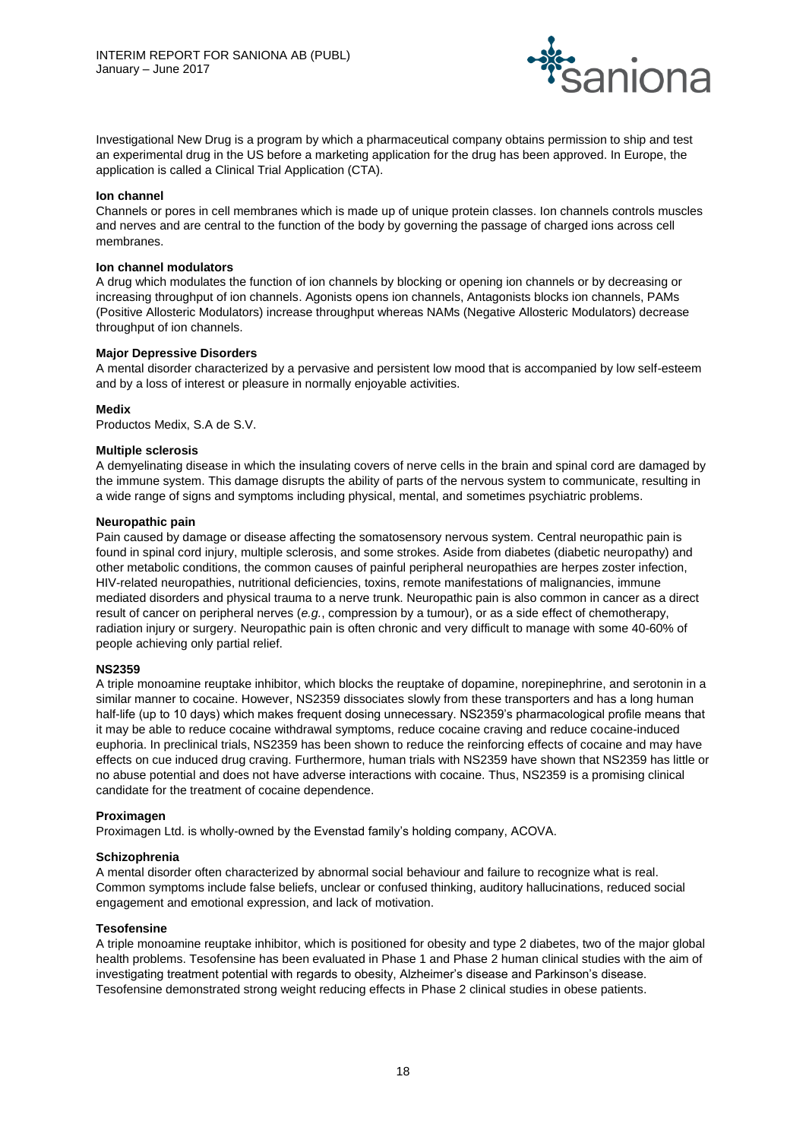

Investigational New Drug is a program by which a pharmaceutical company obtains permission to ship and test an experimental drug in the US before a marketing application for the drug has been approved. In Europe, the application is called a Clinical Trial Application (CTA).

#### **Ion channel**

Channels or pores in cell membranes which is made up of unique protein classes. Ion channels controls muscles and nerves and are central to the function of the body by governing the passage of charged ions across cell membranes.

#### **Ion channel modulators**

A drug which modulates the function of ion channels by blocking or opening ion channels or by decreasing or increasing throughput of ion channels. Agonists opens ion channels, Antagonists blocks ion channels, PAMs (Positive Allosteric Modulators) increase throughput whereas NAMs (Negative Allosteric Modulators) decrease throughput of ion channels.

#### **Major Depressive Disorders**

A mental disorder characterized by a pervasive and persistent low mood that is accompanied by low self-esteem and by a loss of interest or pleasure in normally enjoyable activities.

#### **Medix**

Productos Medix, S.A de S.V.

#### **Multiple sclerosis**

A demyelinating disease in which the insulating covers of nerve cells in the brain and spinal cord are damaged by the immune system. This damage disrupts the ability of parts of the nervous system to communicate, resulting in a wide range of signs and symptoms including physical, mental, and sometimes psychiatric problems.

#### **Neuropathic pain**

Pain caused by damage or disease affecting the somatosensory nervous system. Central neuropathic pain is found in spinal cord injury, multiple sclerosis, and some strokes. Aside from diabetes (diabetic neuropathy) and other metabolic conditions, the common causes of painful peripheral neuropathies are herpes zoster infection, HIV-related neuropathies, nutritional deficiencies, toxins, remote manifestations of malignancies, immune mediated disorders and physical trauma to a nerve trunk. Neuropathic pain is also common in cancer as a direct result of cancer on peripheral nerves (*e.g.*, compression by a tumour), or as a side effect of chemotherapy, radiation injury or surgery. Neuropathic pain is often chronic and very difficult to manage with some 40-60% of people achieving only partial relief.

#### **NS2359**

A triple monoamine reuptake inhibitor, which blocks the reuptake of dopamine, norepinephrine, and serotonin in a similar manner to cocaine. However, NS2359 dissociates slowly from these transporters and has a long human half-life (up to 10 days) which makes frequent dosing unnecessary. NS2359's pharmacological profile means that it may be able to reduce cocaine withdrawal symptoms, reduce cocaine craving and reduce cocaine-induced euphoria. In preclinical trials, NS2359 has been shown to reduce the reinforcing effects of cocaine and may have effects on cue induced drug craving. Furthermore, human trials with NS2359 have shown that NS2359 has little or no abuse potential and does not have adverse interactions with cocaine. Thus, NS2359 is a promising clinical candidate for the treatment of cocaine dependence.

#### **Proximagen**

Proximagen Ltd. is wholly-owned by the Evenstad family's holding company, ACOVA.

# **Schizophrenia**

A mental disorder often characterized by abnormal social behaviour and failure to recognize what is real. Common symptoms include false beliefs, unclear or confused thinking, auditory hallucinations, reduced social engagement and emotional expression, and lack of motivation.

#### **Tesofensine**

A triple monoamine reuptake inhibitor, which is positioned for obesity and type 2 diabetes, two of the major global health problems. Tesofensine has been evaluated in Phase 1 and Phase 2 human clinical studies with the aim of investigating treatment potential with regards to obesity, Alzheimer's disease and Parkinson's disease. Tesofensine demonstrated strong weight reducing effects in Phase 2 clinical studies in obese patients.